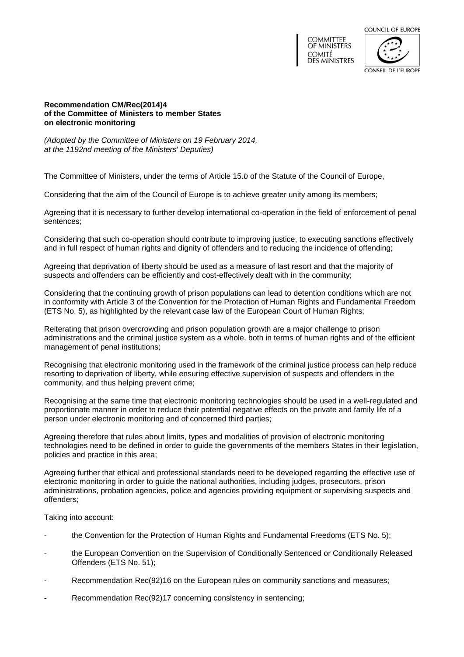



### **Recommendation CM/Rec(2014)4 of the Committee of Ministers to member States on electronic monitoring**

*(Adopted by the Committee of Ministers on 19 February 2014, at the 1192nd meeting of the Ministers' Deputies)*

The Committee of Ministers, under the terms of Article 15.*b* of the Statute of the Council of Europe,

Considering that the aim of the Council of Europe is to achieve greater unity among its members;

Agreeing that it is necessary to further develop international co-operation in the field of enforcement of penal sentences;

Considering that such co-operation should contribute to improving justice, to executing sanctions effectively and in full respect of human rights and dignity of offenders and to reducing the incidence of offending;

Agreeing that deprivation of liberty should be used as a measure of last resort and that the majority of suspects and offenders can be efficiently and cost-effectively dealt with in the community;

Considering that the continuing growth of prison populations can lead to detention conditions which are not in conformity with Article 3 of the Convention for the Protection of Human Rights and Fundamental Freedom (ETS No. 5), as highlighted by the relevant case law of the European Court of Human Rights;

Reiterating that prison overcrowding and prison population growth are a major challenge to prison administrations and the criminal justice system as a whole, both in terms of human rights and of the efficient management of penal institutions;

Recognising that electronic monitoring used in the framework of the criminal justice process can help reduce resorting to deprivation of liberty, while ensuring effective supervision of suspects and offenders in the community, and thus helping prevent crime;

Recognising at the same time that electronic monitoring technologies should be used in a well-regulated and proportionate manner in order to reduce their potential negative effects on the private and family life of a person under electronic monitoring and of concerned third parties;

Agreeing therefore that rules about limits, types and modalities of provision of electronic monitoring technologies need to be defined in order to guide the governments of the members States in their legislation, policies and practice in this area;

Agreeing further that ethical and professional standards need to be developed regarding the effective use of electronic monitoring in order to guide the national authorities, including judges, prosecutors, prison administrations, probation agencies, police and agencies providing equipment or supervising suspects and offenders;

Taking into account:

- the Convention for the Protection of Human Rights and Fundamental Freedoms (ETS No. 5);
- the European Convention on the Supervision of Conditionally Sentenced or Conditionally Released Offenders (ETS No. 51);
- Recommendation Rec(92)16 on the European rules on community sanctions and measures;
- Recommendation Rec(92)17 concerning consistency in sentencing;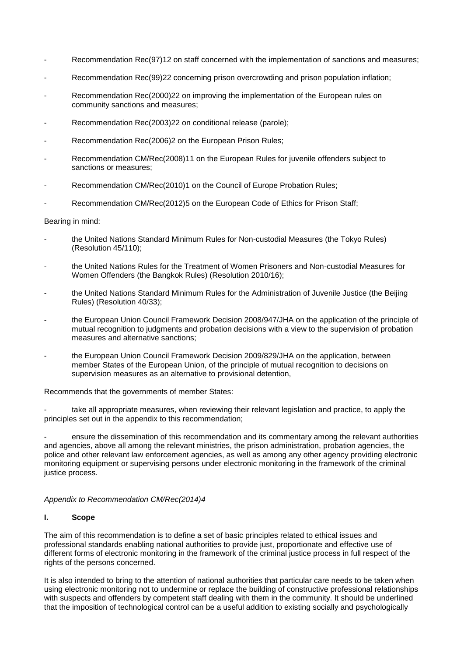- Recommendation Rec(97)12 on staff concerned with the implementation of sanctions and measures;
- Recommendation Rec(99)22 concerning prison overcrowding and prison population inflation;
- Recommendation Rec(2000)22 on improving the implementation of the European rules on community sanctions and measures;
- Recommendation Rec(2003)22 on conditional release (parole);
- Recommendation Rec(2006)2 on the European Prison Rules;
- Recommendation CM/Rec(2008)11 on the European Rules for juvenile offenders subject to sanctions or measures;
- Recommendation CM/Rec(2010)1 on the Council of Europe Probation Rules;
- Recommendation CM/Rec(2012)5 on the European Code of Ethics for Prison Staff;

### Bearing in mind:

- the United Nations Standard Minimum Rules for Non-custodial Measures (the Tokyo Rules) (Resolution 45/110);
- the United Nations Rules for the Treatment of Women Prisoners and Non-custodial Measures for Women Offenders (the Bangkok Rules) (Resolution 2010/16);
- the United Nations Standard Minimum Rules for the Administration of Juvenile Justice (the Beijing Rules) (Resolution 40/33);
- the European Union Council Framework Decision 2008/947/JHA on the application of the principle of mutual recognition to judgments and probation decisions with a view to the supervision of probation measures and alternative sanctions;
- the European Union Council Framework Decision 2009/829/JHA on the application, between member States of the European Union, of the principle of mutual recognition to decisions on supervision measures as an alternative to provisional detention,

Recommends that the governments of member States:

take all appropriate measures, when reviewing their relevant legislation and practice, to apply the principles set out in the appendix to this recommendation;

ensure the dissemination of this recommendation and its commentary among the relevant authorities and agencies, above all among the relevant ministries, the prison administration, probation agencies, the police and other relevant law enforcement agencies, as well as among any other agency providing electronic monitoring equipment or supervising persons under electronic monitoring in the framework of the criminal justice process.

### *Appendix to Recommendation CM/Rec(2014)4*

## **I. Scope**

The aim of this recommendation is to define a set of basic principles related to ethical issues and professional standards enabling national authorities to provide just, proportionate and effective use of different forms of electronic monitoring in the framework of the criminal justice process in full respect of the rights of the persons concerned.

It is also intended to bring to the attention of national authorities that particular care needs to be taken when using electronic monitoring not to undermine or replace the building of constructive professional relationships with suspects and offenders by competent staff dealing with them in the community. It should be underlined that the imposition of technological control can be a useful addition to existing socially and psychologically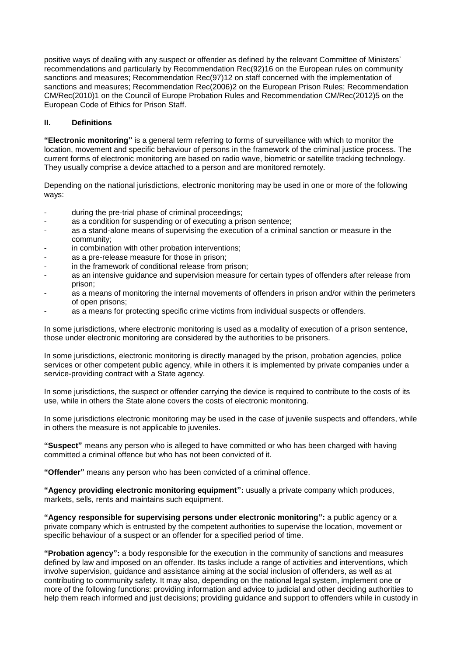positive ways of dealing with any suspect or offender as defined by the relevant Committee of Ministers' recommendations and particularly by Recommendation Rec(92)16 on the European rules on community sanctions and measures; Recommendation Rec(97)12 on staff concerned with the implementation of sanctions and measures; Recommendation Rec(2006)2 on the European Prison Rules; Recommendation CM/Rec(2010)1 on the Council of Europe Probation Rules and Recommendation CM/Rec(2012)5 on the European Code of Ethics for Prison Staff.

# **II. Definitions**

**"Electronic monitoring"** is a general term referring to forms of surveillance with which to monitor the location, movement and specific behaviour of persons in the framework of the criminal justice process. The current forms of electronic monitoring are based on radio wave, biometric or satellite tracking technology. They usually comprise a device attached to a person and are monitored remotely.

Depending on the national jurisdictions, electronic monitoring may be used in one or more of the following ways:

- during the pre-trial phase of criminal proceedings;
- as a condition for suspending or of executing a prison sentence:
- as a stand-alone means of supervising the execution of a criminal sanction or measure in the community;
- in combination with other probation interventions;
- as a pre-release measure for those in prison;
- in the framework of conditional release from prison;
- as an intensive guidance and supervision measure for certain types of offenders after release from prison;
- as a means of monitoring the internal movements of offenders in prison and/or within the perimeters of open prisons;
- as a means for protecting specific crime victims from individual suspects or offenders.

In some jurisdictions, where electronic monitoring is used as a modality of execution of a prison sentence, those under electronic monitoring are considered by the authorities to be prisoners.

In some jurisdictions, electronic monitoring is directly managed by the prison, probation agencies, police services or other competent public agency, while in others it is implemented by private companies under a service-providing contract with a State agency.

In some jurisdictions, the suspect or offender carrying the device is required to contribute to the costs of its use, while in others the State alone covers the costs of electronic monitoring.

In some jurisdictions electronic monitoring may be used in the case of juvenile suspects and offenders, while in others the measure is not applicable to juveniles.

**"Suspect"** means any person who is alleged to have committed or who has been charged with having committed a criminal offence but who has not been convicted of it.

**"Offender"** means any person who has been convicted of a criminal offence.

**"Agency providing electronic monitoring equipment":** usually a private company which produces, markets, sells, rents and maintains such equipment.

**"Agency responsible for supervising persons under electronic monitoring":** a public agency or a private company which is entrusted by the competent authorities to supervise the location, movement or specific behaviour of a suspect or an offender for a specified period of time.

**"Probation agency":** a body responsible for the execution in the community of sanctions and measures defined by law and imposed on an offender. Its tasks include a range of activities and interventions, which involve supervision, guidance and assistance aiming at the social inclusion of offenders, as well as at contributing to community safety. It may also, depending on the national legal system, implement one or more of the following functions: providing information and advice to judicial and other deciding authorities to help them reach informed and just decisions; providing guidance and support to offenders while in custody in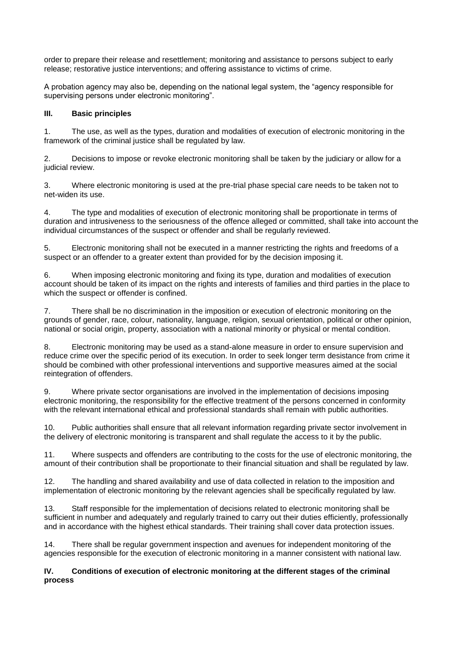order to prepare their release and resettlement; monitoring and assistance to persons subject to early release; restorative justice interventions; and offering assistance to victims of crime.

A probation agency may also be, depending on the national legal system, the "agency responsible for supervising persons under electronic monitoring".

# **III. Basic principles**

1. The use, as well as the types, duration and modalities of execution of electronic monitoring in the framework of the criminal justice shall be regulated by law.

2. Decisions to impose or revoke electronic monitoring shall be taken by the judiciary or allow for a judicial review.

3. Where electronic monitoring is used at the pre-trial phase special care needs to be taken not to net-widen its use.

4. The type and modalities of execution of electronic monitoring shall be proportionate in terms of duration and intrusiveness to the seriousness of the offence alleged or committed, shall take into account the individual circumstances of the suspect or offender and shall be regularly reviewed.

5. Electronic monitoring shall not be executed in a manner restricting the rights and freedoms of a suspect or an offender to a greater extent than provided for by the decision imposing it.

6. When imposing electronic monitoring and fixing its type, duration and modalities of execution account should be taken of its impact on the rights and interests of families and third parties in the place to which the suspect or offender is confined.

7. There shall be no discrimination in the imposition or execution of electronic monitoring on the grounds of gender, race, colour, nationality, language, religion, sexual orientation, political or other opinion, national or social origin, property, association with a national minority or physical or mental condition.

8. Electronic monitoring may be used as a stand-alone measure in order to ensure supervision and reduce crime over the specific period of its execution. In order to seek longer term desistance from crime it should be combined with other professional interventions and supportive measures aimed at the social reintegration of offenders.

9. Where private sector organisations are involved in the implementation of decisions imposing electronic monitoring, the responsibility for the effective treatment of the persons concerned in conformity with the relevant international ethical and professional standards shall remain with public authorities.

10. Public authorities shall ensure that all relevant information regarding private sector involvement in the delivery of electronic monitoring is transparent and shall regulate the access to it by the public.

11. Where suspects and offenders are contributing to the costs for the use of electronic monitoring, the amount of their contribution shall be proportionate to their financial situation and shall be regulated by law.

12. The handling and shared availability and use of data collected in relation to the imposition and implementation of electronic monitoring by the relevant agencies shall be specifically regulated by law.

13. Staff responsible for the implementation of decisions related to electronic monitoring shall be sufficient in number and adequately and regularly trained to carry out their duties efficiently, professionally and in accordance with the highest ethical standards. Their training shall cover data protection issues.

14. There shall be regular government inspection and avenues for independent monitoring of the agencies responsible for the execution of electronic monitoring in a manner consistent with national law.

## **IV. Conditions of execution of electronic monitoring at the different stages of the criminal process**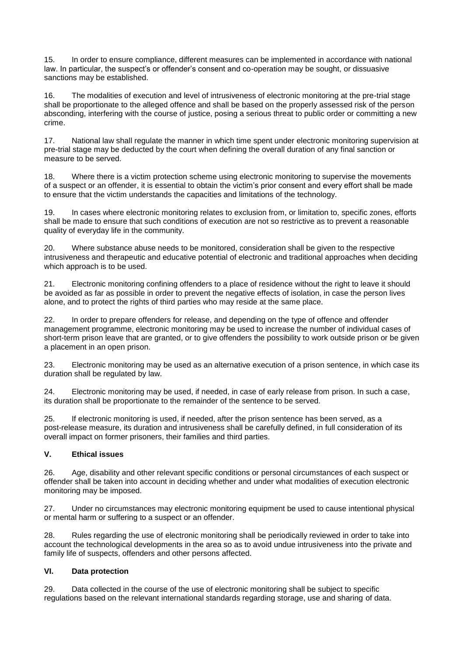15. In order to ensure compliance, different measures can be implemented in accordance with national law. In particular, the suspect's or offender's consent and co-operation may be sought, or dissuasive sanctions may be established.

16. The modalities of execution and level of intrusiveness of electronic monitoring at the pre-trial stage shall be proportionate to the alleged offence and shall be based on the properly assessed risk of the person absconding, interfering with the course of justice, posing a serious threat to public order or committing a new crime.

17. National law shall regulate the manner in which time spent under electronic monitoring supervision at pre-trial stage may be deducted by the court when defining the overall duration of any final sanction or measure to be served.

18. Where there is a victim protection scheme using electronic monitoring to supervise the movements of a suspect or an offender, it is essential to obtain the victim's prior consent and every effort shall be made to ensure that the victim understands the capacities and limitations of the technology.

19. In cases where electronic monitoring relates to exclusion from, or limitation to, specific zones, efforts shall be made to ensure that such conditions of execution are not so restrictive as to prevent a reasonable quality of everyday life in the community.

20. Where substance abuse needs to be monitored, consideration shall be given to the respective intrusiveness and therapeutic and educative potential of electronic and traditional approaches when deciding which approach is to be used.

21. Electronic monitoring confining offenders to a place of residence without the right to leave it should be avoided as far as possible in order to prevent the negative effects of isolation, in case the person lives alone, and to protect the rights of third parties who may reside at the same place.

22. In order to prepare offenders for release, and depending on the type of offence and offender management programme, electronic monitoring may be used to increase the number of individual cases of short-term prison leave that are granted, or to give offenders the possibility to work outside prison or be given a placement in an open prison.

23. Electronic monitoring may be used as an alternative execution of a prison sentence, in which case its duration shall be regulated by law.

24. Electronic monitoring may be used, if needed, in case of early release from prison. In such a case, its duration shall be proportionate to the remainder of the sentence to be served.

25. If electronic monitoring is used, if needed, after the prison sentence has been served, as a post-release measure, its duration and intrusiveness shall be carefully defined, in full consideration of its overall impact on former prisoners, their families and third parties.

# **V. Ethical issues**

26. Age, disability and other relevant specific conditions or personal circumstances of each suspect or offender shall be taken into account in deciding whether and under what modalities of execution electronic monitoring may be imposed.

27. Under no circumstances may electronic monitoring equipment be used to cause intentional physical or mental harm or suffering to a suspect or an offender.

28. Rules regarding the use of electronic monitoring shall be periodically reviewed in order to take into account the technological developments in the area so as to avoid undue intrusiveness into the private and family life of suspects, offenders and other persons affected.

# **VI. Data protection**

29. Data collected in the course of the use of electronic monitoring shall be subject to specific regulations based on the relevant international standards regarding storage, use and sharing of data.